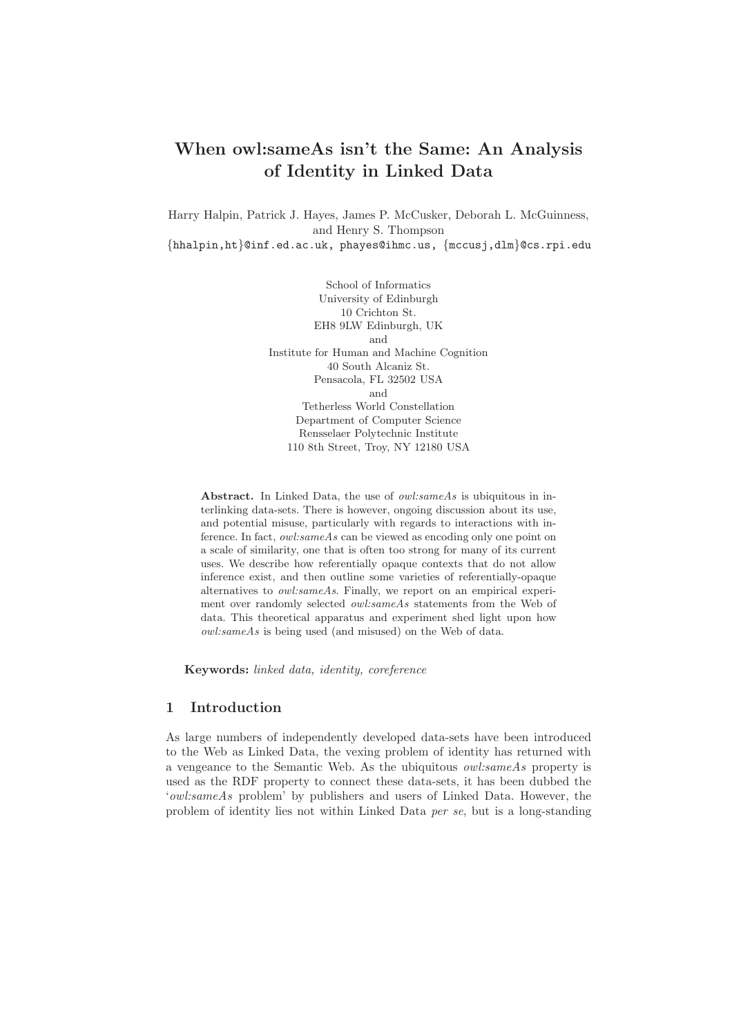# When owl:sameAs isn't the Same: An Analysis of Identity in Linked Data

Harry Halpin, Patrick J. Hayes, James P. McCusker, Deborah L. McGuinness, and Henry S. Thompson {hhalpin,ht}@inf.ed.ac.uk, phayes@ihmc.us, {mccusj,dlm}@cs.rpi.edu

> School of Informatics University of Edinburgh 10 Crichton St. EH8 9LW Edinburgh, UK and Institute for Human and Machine Cognition 40 South Alcaniz St. Pensacola, FL 32502 USA and Tetherless World Constellation Department of Computer Science Rensselaer Polytechnic Institute 110 8th Street, Troy, NY 12180 USA

Abstract. In Linked Data, the use of *owl:sameAs* is ubiquitous in interlinking data-sets. There is however, ongoing discussion about its use, and potential misuse, particularly with regards to interactions with inference. In fact, *owl:sameAs* can be viewed as encoding only one point on a scale of similarity, one that is often too strong for many of its current uses. We describe how referentially opaque contexts that do not allow inference exist, and then outline some varieties of referentially-opaque alternatives to *owl:sameAs*. Finally, we report on an empirical experiment over randomly selected *owl:sameAs* statements from the Web of data. This theoretical apparatus and experiment shed light upon how *owl:sameAs* is being used (and misused) on the Web of data.

Keywords: *linked data, identity, coreference*

# 1 Introduction

As large numbers of independently developed data-sets have been introduced to the Web as Linked Data, the vexing problem of identity has returned with a vengeance to the Semantic Web. As the ubiquitous *owl:sameAs* property is used as the RDF property to connect these data-sets, it has been dubbed the '*owl:sameAs* problem' by publishers and users of Linked Data. However, the problem of identity lies not within Linked Data *per se*, but is a long-standing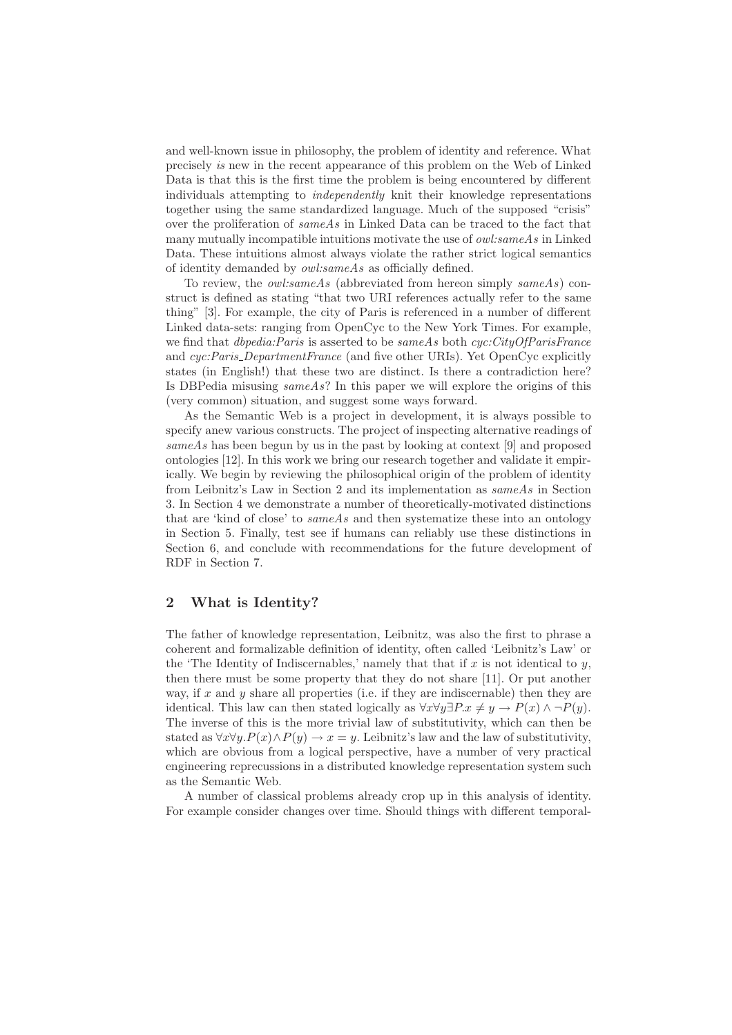and well-known issue in philosophy, the problem of identity and reference. What precisely *is* new in the recent appearance of this problem on the Web of Linked Data is that this is the first time the problem is being encountered by different individuals attempting to *independently* knit their knowledge representations together using the same standardized language. Much of the supposed "crisis" over the proliferation of *sameAs* in Linked Data can be traced to the fact that many mutually incompatible intuitions motivate the use of *owl:sameAs* in Linked Data. These intuitions almost always violate the rather strict logical semantics of identity demanded by *owl:sameAs* as officially defined.

To review, the *owl:sameAs* (abbreviated from hereon simply *sameAs*) construct is defined as stating "that two URI references actually refer to the same thing" [3]. For example, the city of Paris is referenced in a number of different Linked data-sets: ranging from OpenCyc to the New York Times. For example, we find that *dbpedia:Paris* is asserted to be *sameAs* both *cyc:CityOfParisFrance* and *cyc:Paris DepartmentFrance* (and five other URIs). Yet OpenCyc explicitly states (in English!) that these two are distinct. Is there a contradiction here? Is DBPedia misusing *sameAs*? In this paper we will explore the origins of this (very common) situation, and suggest some ways forward.

As the Semantic Web is a project in development, it is always possible to specify anew various constructs. The project of inspecting alternative readings of *sameAs* has been begun by us in the past by looking at context [9] and proposed ontologies [12]. In this work we bring our research together and validate it empirically. We begin by reviewing the philosophical origin of the problem of identity from Leibnitz's Law in Section 2 and its implementation as *sameAs* in Section 3. In Section 4 we demonstrate a number of theoretically-motivated distinctions that are 'kind of close' to *sameAs* and then systematize these into an ontology in Section 5. Finally, test see if humans can reliably use these distinctions in Section 6, and conclude with recommendations for the future development of RDF in Section 7.

### 2 What is Identity?

The father of knowledge representation, Leibnitz, was also the first to phrase a coherent and formalizable definition of identity, often called 'Leibnitz's Law' or the 'The Identity of Indiscernables,' namely that that if  $x$  is not identical to  $y$ , then there must be some property that they do not share [11]. Or put another way, if x and y share all properties (i.e. if they are indiscernable) then they are identical. This law can then stated logically as  $\forall x \forall y \exists P.x \neq y \rightarrow P(x) \land \neg P(y)$ . The inverse of this is the more trivial law of substitutivity, which can then be stated as  $\forall x \forall y. P(x) \land P(y) \rightarrow x = y$ . Leibnitz's law and the law of substitutivity, which are obvious from a logical perspective, have a number of very practical engineering reprecussions in a distributed knowledge representation system such as the Semantic Web.

A number of classical problems already crop up in this analysis of identity. For example consider changes over time. Should things with different temporal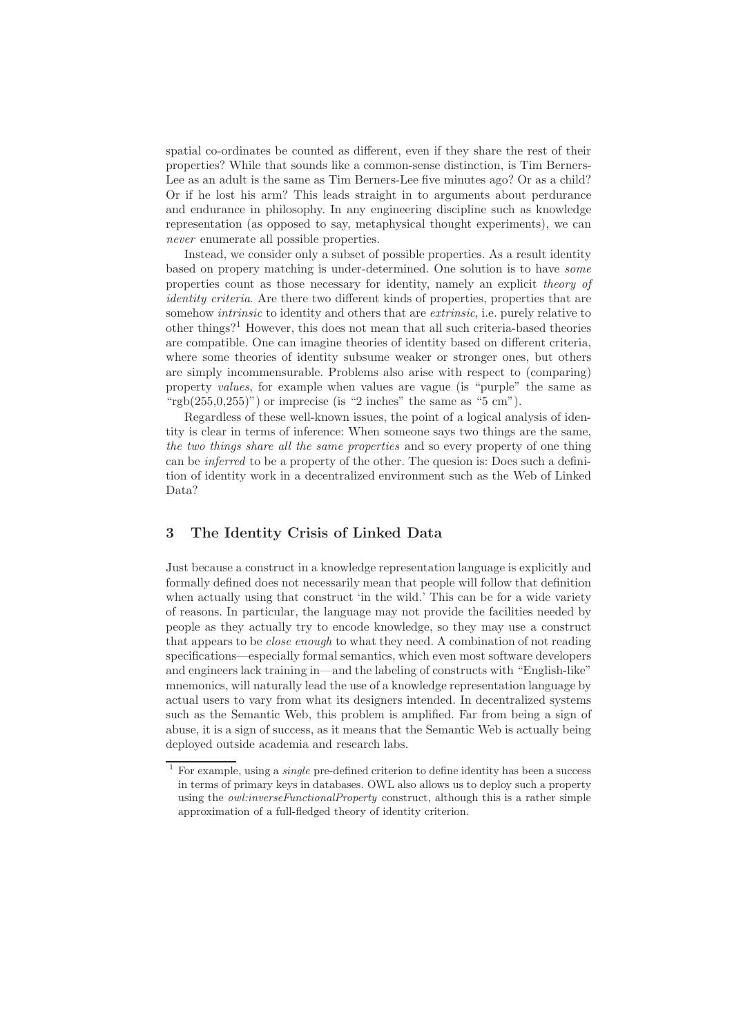spatial co-ordinates be counted as different, even if they share the rest of their properties? While that sounds like a common-sense distinction, is Tim Berners-Lee as an adult is the same as Tim Berners-Lee five minutes ago? Or as a child? Or if he lost his arm? This leads straight in to arguments about perdurance and endurance in philosophy. In any engineering discipline such as knowledge representation (as opposed to say, metaphysical thought experiments), we can *never* enumerate all possible properties.

Instead, we consider only a subset of possible properties. As a result identity based on propery matching is under-determined. One solution is to have *some* properties count as those necessary for identity, namely an explicit *theory of identity criteria*. Are there two different kinds of properties, properties that are somehow *intrinsic* to identity and others that are *extrinsic*, i.e. purely relative to other things?<sup>1</sup> However, this does not mean that all such criteria-based theories are compatible. One can imagine theories of identity based on different criteria, where some theories of identity subsume weaker or stronger ones, but others are simply incommensurable. Problems also arise with respect to (comparing) property *values*, for example when values are vague (is "purple" the same as "rgb $(255,0,255)$ ") or imprecise (is "2 inches" the same as "5 cm").

Regardless of these well-known issues, the point of a logical analysis of identity is clear in terms of inference: When someone says two things are the same, *the two things share all the same properties* and so every property of one thing can be *inferred* to be a property of the other. The quesion is: Does such a definition of identity work in a decentralized environment such as the Web of Linked Data?

## 3 The Identity Crisis of Linked Data

Just because a construct in a knowledge representation language is explicitly and formally defined does not necessarily mean that people will follow that definition when actually using that construct 'in the wild.' This can be for a wide variety of reasons. In particular, the language may not provide the facilities needed by people as they actually try to encode knowledge, so they may use a construct that appears to be *close enough* to what they need. A combination of not reading specifications—especially formal semantics, which even most software developers and engineers lack training in—and the labeling of constructs with "English-like" mnemonics, will naturally lead the use of a knowledge representation language by actual users to vary from what its designers intended. In decentralized systems such as the Semantic Web, this problem is amplified. Far from being a sign of abuse, it is a sign of success, as it means that the Semantic Web is actually being deployed outside academia and research labs.

<sup>1</sup> For example, using a *single* pre-defined criterion to define identity has been a success in terms of primary keys in databases. OWL also allows us to deploy such a property using the *owl:inverseFunctionalProperty* construct, although this is a rather simple approximation of a full-fledged theory of identity criterion.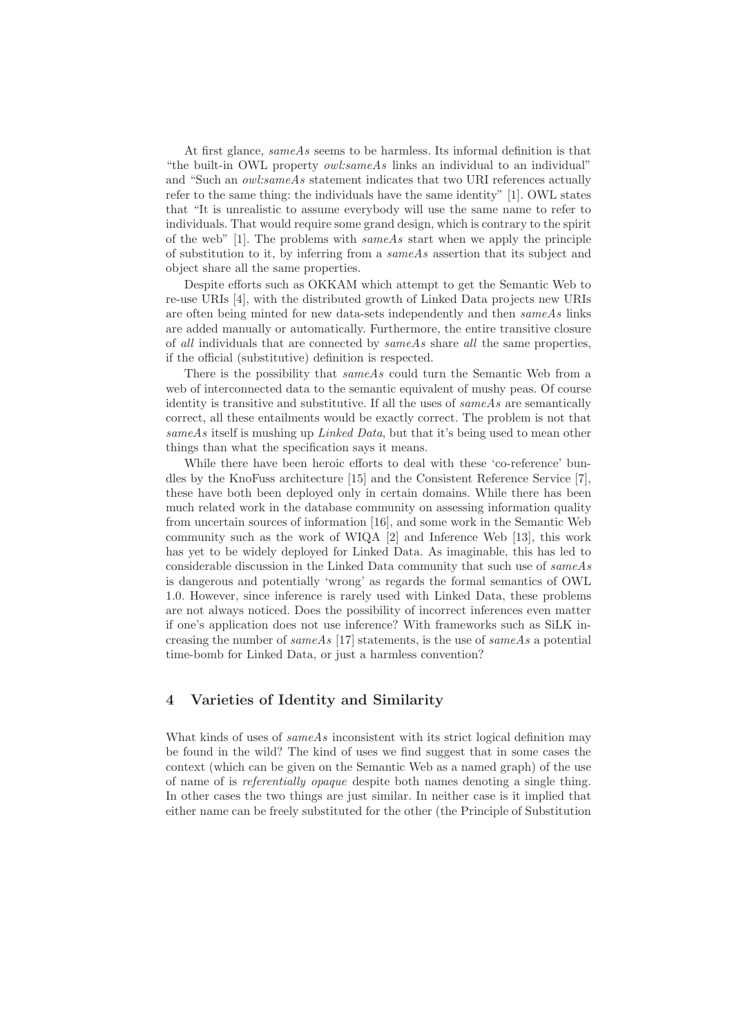At first glance, *sameAs* seems to be harmless. Its informal definition is that "the built-in OWL property *owl:sameAs* links an individual to an individual" and "Such an *owl:sameAs* statement indicates that two URI references actually refer to the same thing: the individuals have the same identity" [1]. OWL states that "It is unrealistic to assume everybody will use the same name to refer to individuals. That would require some grand design, which is contrary to the spirit of the web" [1]. The problems with *sameAs* start when we apply the principle of substitution to it, by inferring from a *sameAs* assertion that its subject and object share all the same properties.

Despite efforts such as OKKAM which attempt to get the Semantic Web to re-use URIs [4], with the distributed growth of Linked Data projects new URIs are often being minted for new data-sets independently and then *sameAs* links are added manually or automatically. Furthermore, the entire transitive closure of *all* individuals that are connected by *sameAs* share *all* the same properties, if the official (substitutive) definition is respected.

There is the possibility that *sameAs* could turn the Semantic Web from a web of interconnected data to the semantic equivalent of mushy peas. Of course identity is transitive and substitutive. If all the uses of *sameAs* are semantically correct, all these entailments would be exactly correct. The problem is not that *sameAs* itself is mushing up *Linked Data*, but that it's being used to mean other things than what the specification says it means.

While there have been heroic efforts to deal with these 'co-reference' bundles by the KnoFuss architecture [15] and the Consistent Reference Service [7], these have both been deployed only in certain domains. While there has been much related work in the database community on assessing information quality from uncertain sources of information [16], and some work in the Semantic Web community such as the work of WIQA [2] and Inference Web [13], this work has yet to be widely deployed for Linked Data. As imaginable, this has led to considerable discussion in the Linked Data community that such use of *sameAs* is dangerous and potentially 'wrong' as regards the formal semantics of OWL 1.0. However, since inference is rarely used with Linked Data, these problems are not always noticed. Does the possibility of incorrect inferences even matter if one's application does not use inference? With frameworks such as SiLK increasing the number of *sameAs* [17] statements, is the use of *sameAs* a potential time-bomb for Linked Data, or just a harmless convention?

#### 4 Varieties of Identity and Similarity

What kinds of uses of *sameAs* inconsistent with its strict logical definition may be found in the wild? The kind of uses we find suggest that in some cases the context (which can be given on the Semantic Web as a named graph) of the use of name of is *referentially opaque* despite both names denoting a single thing. In other cases the two things are just similar. In neither case is it implied that either name can be freely substituted for the other (the Principle of Substitution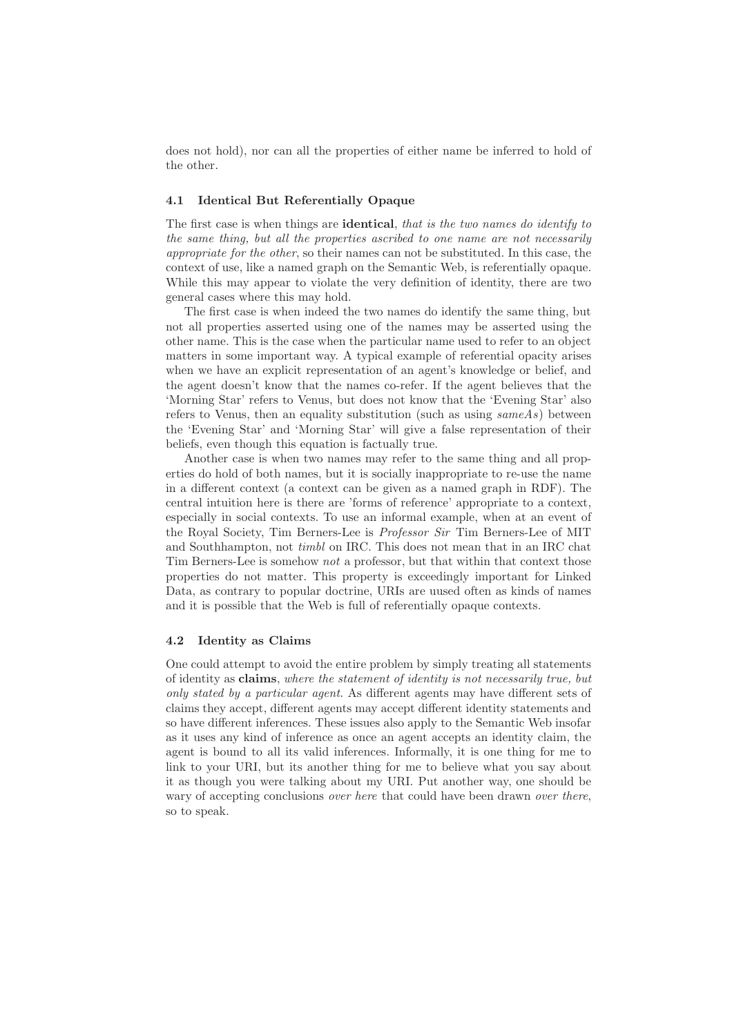does not hold), nor can all the properties of either name be inferred to hold of the other.

#### 4.1 Identical But Referentially Opaque

The first case is when things are identical, *that is the two names do identify to the same thing, but all the properties ascribed to one name are not necessarily appropriate for the other*, so their names can not be substituted. In this case, the context of use, like a named graph on the Semantic Web, is referentially opaque. While this may appear to violate the very definition of identity, there are two general cases where this may hold.

The first case is when indeed the two names do identify the same thing, but not all properties asserted using one of the names may be asserted using the other name. This is the case when the particular name used to refer to an object matters in some important way. A typical example of referential opacity arises when we have an explicit representation of an agent's knowledge or belief, and the agent doesn't know that the names co-refer. If the agent believes that the 'Morning Star' refers to Venus, but does not know that the 'Evening Star' also refers to Venus, then an equality substitution (such as using *sameAs*) between the 'Evening Star' and 'Morning Star' will give a false representation of their beliefs, even though this equation is factually true.

Another case is when two names may refer to the same thing and all properties do hold of both names, but it is socially inappropriate to re-use the name in a different context (a context can be given as a named graph in RDF). The central intuition here is there are 'forms of reference' appropriate to a context, especially in social contexts. To use an informal example, when at an event of the Royal Society, Tim Berners-Lee is *Professor Sir* Tim Berners-Lee of MIT and Southhampton, not *timbl* on IRC. This does not mean that in an IRC chat Tim Berners-Lee is somehow *not* a professor, but that within that context those properties do not matter. This property is exceedingly important for Linked Data, as contrary to popular doctrine, URIs are uused often as kinds of names and it is possible that the Web is full of referentially opaque contexts.

#### 4.2 Identity as Claims

One could attempt to avoid the entire problem by simply treating all statements of identity as claims, *where the statement of identity is not necessarily true, but only stated by a particular agent*. As different agents may have different sets of claims they accept, different agents may accept different identity statements and so have different inferences. These issues also apply to the Semantic Web insofar as it uses any kind of inference as once an agent accepts an identity claim, the agent is bound to all its valid inferences. Informally, it is one thing for me to link to your URI, but its another thing for me to believe what you say about it as though you were talking about my URI. Put another way, one should be wary of accepting conclusions *over here* that could have been drawn *over there*, so to speak.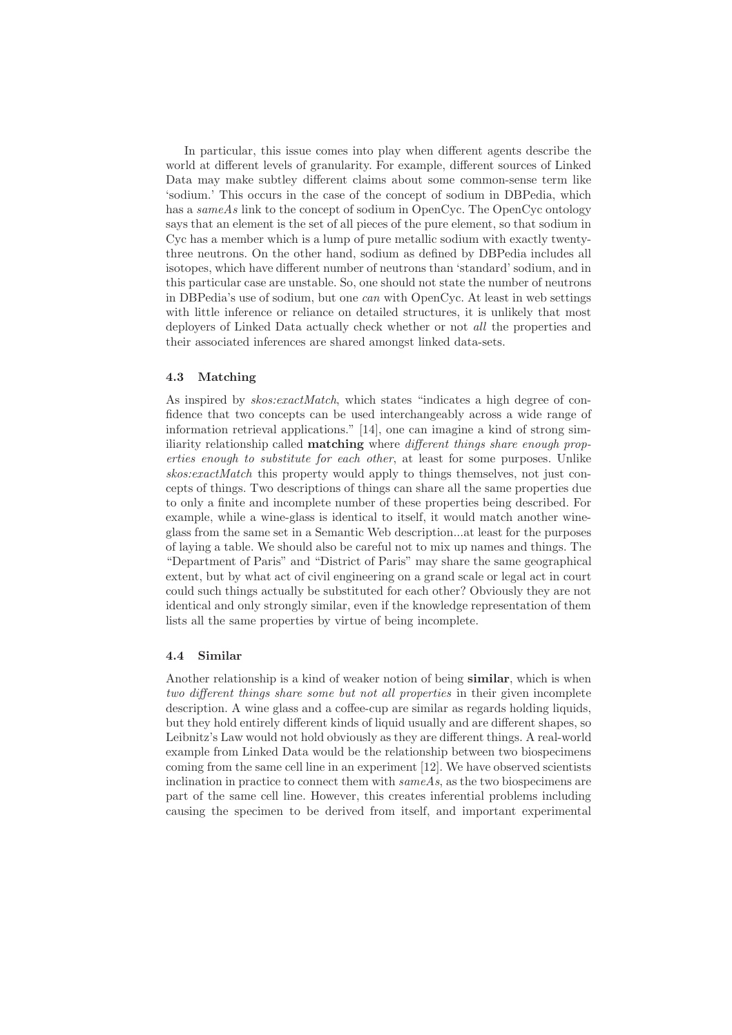In particular, this issue comes into play when different agents describe the world at different levels of granularity. For example, different sources of Linked Data may make subtley different claims about some common-sense term like 'sodium.' This occurs in the case of the concept of sodium in DBPedia, which has a *sameAs* link to the concept of sodium in OpenCyc. The OpenCyc ontology says that an element is the set of all pieces of the pure element, so that sodium in Cyc has a member which is a lump of pure metallic sodium with exactly twentythree neutrons. On the other hand, sodium as defined by DBPedia includes all isotopes, which have different number of neutrons than 'standard' sodium, and in this particular case are unstable. So, one should not state the number of neutrons in DBPedia's use of sodium, but one *can* with OpenCyc. At least in web settings with little inference or reliance on detailed structures, it is unlikely that most deployers of Linked Data actually check whether or not *all* the properties and their associated inferences are shared amongst linked data-sets.

#### 4.3 Matching

As inspired by *skos:exactMatch*, which states "indicates a high degree of confidence that two concepts can be used interchangeably across a wide range of information retrieval applications." [14], one can imagine a kind of strong similiarity relationship called matching where *different things share enough properties enough to substitute for each other*, at least for some purposes. Unlike *skos:exactMatch* this property would apply to things themselves, not just concepts of things. Two descriptions of things can share all the same properties due to only a finite and incomplete number of these properties being described. For example, while a wine-glass is identical to itself, it would match another wineglass from the same set in a Semantic Web description...at least for the purposes of laying a table. We should also be careful not to mix up names and things. The "Department of Paris" and "District of Paris" may share the same geographical extent, but by what act of civil engineering on a grand scale or legal act in court could such things actually be substituted for each other? Obviously they are not identical and only strongly similar, even if the knowledge representation of them lists all the same properties by virtue of being incomplete.

#### 4.4 Similar

Another relationship is a kind of weaker notion of being similar, which is when *two different things share some but not all properties* in their given incomplete description. A wine glass and a coffee-cup are similar as regards holding liquids, but they hold entirely different kinds of liquid usually and are different shapes, so Leibnitz's Law would not hold obviously as they are different things. A real-world example from Linked Data would be the relationship between two biospecimens coming from the same cell line in an experiment [12]. We have observed scientists inclination in practice to connect them with *sameAs*, as the two biospecimens are part of the same cell line. However, this creates inferential problems including causing the specimen to be derived from itself, and important experimental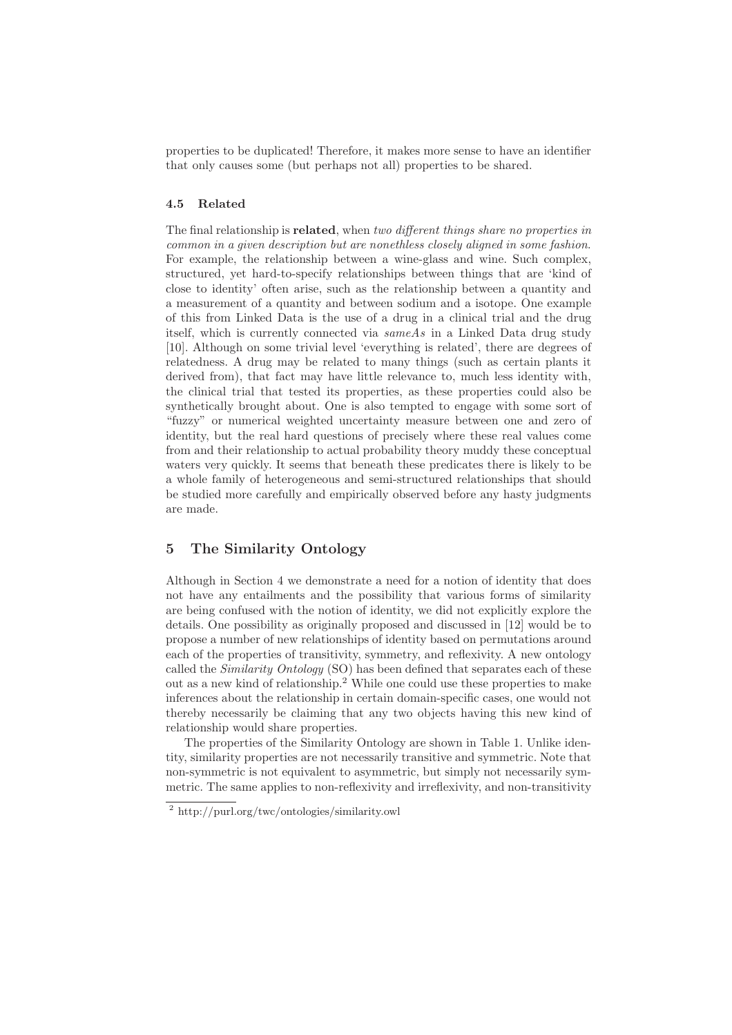properties to be duplicated! Therefore, it makes more sense to have an identifier that only causes some (but perhaps not all) properties to be shared.

#### 4.5 Related

The final relationship is related, when *two different things share no properties in common in a given description but are nonethless closely aligned in some fashion*. For example, the relationship between a wine-glass and wine. Such complex, structured, yet hard-to-specify relationships between things that are 'kind of close to identity' often arise, such as the relationship between a quantity and a measurement of a quantity and between sodium and a isotope. One example of this from Linked Data is the use of a drug in a clinical trial and the drug itself, which is currently connected via *sameAs* in a Linked Data drug study [10]. Although on some trivial level 'everything is related', there are degrees of relatedness. A drug may be related to many things (such as certain plants it derived from), that fact may have little relevance to, much less identity with, the clinical trial that tested its properties, as these properties could also be synthetically brought about. One is also tempted to engage with some sort of "fuzzy" or numerical weighted uncertainty measure between one and zero of identity, but the real hard questions of precisely where these real values come from and their relationship to actual probability theory muddy these conceptual waters very quickly. It seems that beneath these predicates there is likely to be a whole family of heterogeneous and semi-structured relationships that should be studied more carefully and empirically observed before any hasty judgments are made.

## 5 The Similarity Ontology

Although in Section 4 we demonstrate a need for a notion of identity that does not have any entailments and the possibility that various forms of similarity are being confused with the notion of identity, we did not explicitly explore the details. One possibility as originally proposed and discussed in [12] would be to propose a number of new relationships of identity based on permutations around each of the properties of transitivity, symmetry, and reflexivity. A new ontology called the *Similarity Ontology* (SO) has been defined that separates each of these out as a new kind of relationship.<sup>2</sup> While one could use these properties to make inferences about the relationship in certain domain-specific cases, one would not thereby necessarily be claiming that any two objects having this new kind of relationship would share properties.

The properties of the Similarity Ontology are shown in Table 1. Unlike identity, similarity properties are not necessarily transitive and symmetric. Note that non-symmetric is not equivalent to asymmetric, but simply not necessarily symmetric. The same applies to non-reflexivity and irreflexivity, and non-transitivity

<sup>2</sup> http://purl.org/twc/ontologies/similarity.owl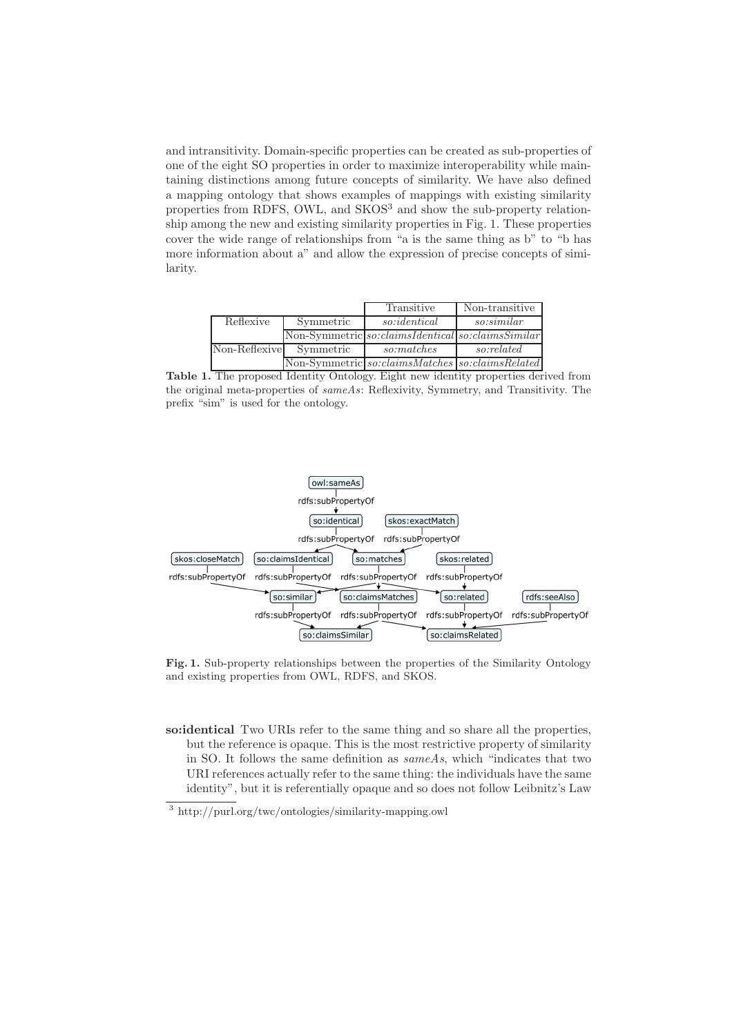and intransitivity. Domain-specific properties can be created as sub-properties of one of the eight SO properties in order to maximize interoperability while maintaining distinctions among future concepts of similarity. We have also defined a mapping ontology that shows examples of mappings with existing similarity properties from RDFS, OWL, and SKOS<sup>3</sup> and show the sub-property relationship among the new and existing similarity properties in Fig. 1. These properties cover the wide range of relationships from "a is the same thing as b" to "b has more information about a" and allow the expression of precise concepts of similarity.

|               |           | Transitive                                        | Non-transitive |  |
|---------------|-----------|---------------------------------------------------|----------------|--|
| Reflexive     | Symmetric | so: identical                                     | so:similar     |  |
|               |           | Non-Symmetric so:claimsIdentical so:claimsSimilar |                |  |
| Non-Reflexive | Symmetric | so:matches                                        | so:related     |  |
|               |           | Non-Symmetric so:claimsMatches so:claimsRelated   |                |  |

Table 1. The proposed Identity Ontology. Eight new identity properties derived from the original meta-properties of *sameAs*: Reflexivity, Symmetry, and Transitivity. The prefix "sim" is used for the ontology.



Fig. 1. Sub-property relationships between the properties of the Similarity Ontology and existing properties from OWL, RDFS, and SKOS.

so:identical Two URIs refer to the same thing and so share all the properties, but the reference is opaque. This is the most restrictive property of similarity in SO. It follows the same definition as *sameAs*, which "indicates that two URI references actually refer to the same thing: the individuals have the same identity", but it is referentially opaque and so does not follow Leibnitz's Law

<sup>3</sup> http://purl.org/twc/ontologies/similarity-mapping.owl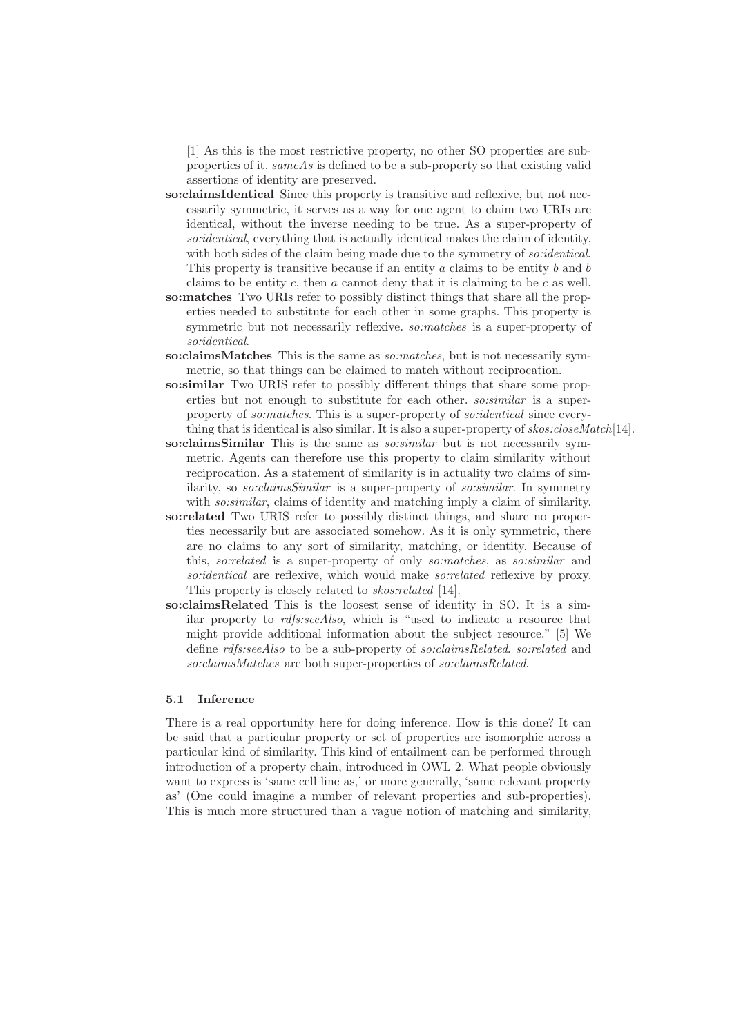[1] As this is the most restrictive property, no other SO properties are subproperties of it. *sameAs* is defined to be a sub-property so that existing valid assertions of identity are preserved.

- so:claimsIdentical Since this property is transitive and reflexive, but not necessarily symmetric, it serves as a way for one agent to claim two URIs are identical, without the inverse needing to be true. As a super-property of *so:identical*, everything that is actually identical makes the claim of identity, with both sides of the claim being made due to the symmetry of *so:identical*. This property is transitive because if an entity  $a$  claims to be entity  $b$  and  $b$ claims to be entity c, then  $a$  cannot deny that it is claiming to be  $c$  as well.
- so:matches Two URIs refer to possibly distinct things that share all the properties needed to substitute for each other in some graphs. This property is symmetric but not necessarily reflexive. *so:matches* is a super-property of *so:identical*.
- so:claimsMatches This is the same as *so:matches*, but is not necessarily symmetric, so that things can be claimed to match without reciprocation.
- so:similar Two URIS refer to possibly different things that share some properties but not enough to substitute for each other. *so:similar* is a superproperty of *so:matches*. This is a super-property of *so:identical* since everything that is identical is also similar. It is also a super-property of *skos:closeMatch*[14].
- so:claimsSimilar This is the same as *so:similar* but is not necessarily symmetric. Agents can therefore use this property to claim similarity without reciprocation. As a statement of similarity is in actuality two claims of similarity, so *so:claimsSimilar* is a super-property of *so:similar*. In symmetry with *so:similar*, claims of identity and matching imply a claim of similarity.
- so:related Two URIS refer to possibly distinct things, and share no properties necessarily but are associated somehow. As it is only symmetric, there are no claims to any sort of similarity, matching, or identity. Because of this, *so:related* is a super-property of only *so:matches*, as *so:similar* and *so:identical* are reflexive, which would make *so:related* reflexive by proxy. This property is closely related to *skos:related* [14].
- so:claimsRelated This is the loosest sense of identity in SO. It is a similar property to *rdfs:seeAlso*, which is "used to indicate a resource that might provide additional information about the subject resource." [5] We define *rdfs:seeAlso* to be a sub-property of *so:claimsRelated*. *so:related* and *so:claimsMatches* are both super-properties of *so:claimsRelated*.

#### 5.1 Inference

There is a real opportunity here for doing inference. How is this done? It can be said that a particular property or set of properties are isomorphic across a particular kind of similarity. This kind of entailment can be performed through introduction of a property chain, introduced in OWL 2. What people obviously want to express is 'same cell line as,' or more generally, 'same relevant property as' (One could imagine a number of relevant properties and sub-properties). This is much more structured than a vague notion of matching and similarity,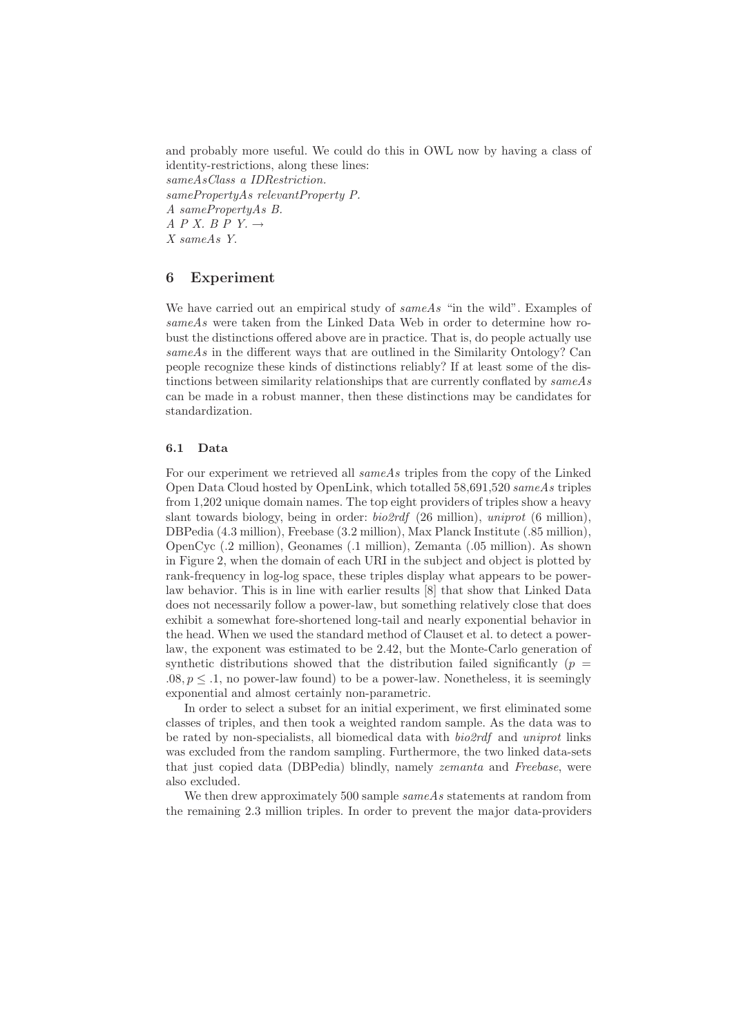and probably more useful. We could do this in OWL now by having a class of identity-restrictions, along these lines: *sameAsClass a IDRestriction. samePropertyAs relevantProperty P. A samePropertyAs B. A P X. B P Y.* → *X sameAs Y*.

### 6 Experiment

We have carried out an empirical study of *sameAs* "in the wild". Examples of *sameAs* were taken from the Linked Data Web in order to determine how robust the distinctions offered above are in practice. That is, do people actually use *sameAs* in the different ways that are outlined in the Similarity Ontology? Can people recognize these kinds of distinctions reliably? If at least some of the distinctions between similarity relationships that are currently conflated by *sameAs* can be made in a robust manner, then these distinctions may be candidates for standardization.

#### 6.1 Data

For our experiment we retrieved all *sameAs* triples from the copy of the Linked Open Data Cloud hosted by OpenLink, which totalled 58,691,520 *sameAs* triples from 1,202 unique domain names. The top eight providers of triples show a heavy slant towards biology, being in order: *bio2rdf* (26 million), *uniprot* (6 million), DBPedia (4.3 million), Freebase (3.2 million), Max Planck Institute (.85 million), OpenCyc (.2 million), Geonames (.1 million), Zemanta (.05 million). As shown in Figure 2, when the domain of each URI in the subject and object is plotted by rank-frequency in log-log space, these triples display what appears to be powerlaw behavior. This is in line with earlier results [8] that show that Linked Data does not necessarily follow a power-law, but something relatively close that does exhibit a somewhat fore-shortened long-tail and nearly exponential behavior in the head. When we used the standard method of Clauset et al. to detect a powerlaw, the exponent was estimated to be 2.42, but the Monte-Carlo generation of synthetic distributions showed that the distribution failed significantly ( $p =$  $.08, p \leq .1$ , no power-law found) to be a power-law. Nonetheless, it is seemingly exponential and almost certainly non-parametric.

In order to select a subset for an initial experiment, we first eliminated some classes of triples, and then took a weighted random sample. As the data was to be rated by non-specialists, all biomedical data with *bio2rdf* and *uniprot* links was excluded from the random sampling. Furthermore, the two linked data-sets that just copied data (DBPedia) blindly, namely *zemanta* and *Freebase*, were also excluded.

We then drew approximately 500 sample *sameAs* statements at random from the remaining 2.3 million triples. In order to prevent the major data-providers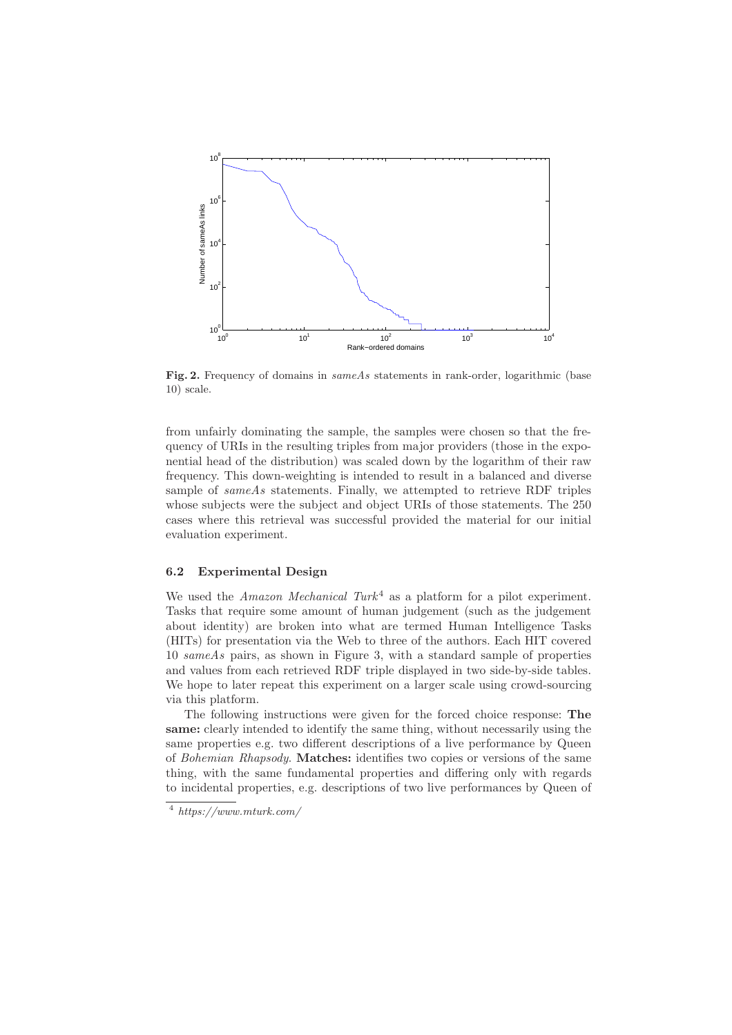

Fig. 2. Frequency of domains in *sameAs* statements in rank-order, logarithmic (base 10) scale.

from unfairly dominating the sample, the samples were chosen so that the frequency of URIs in the resulting triples from major providers (those in the exponential head of the distribution) was scaled down by the logarithm of their raw frequency. This down-weighting is intended to result in a balanced and diverse sample of *sameAs* statements. Finally, we attempted to retrieve RDF triples whose subjects were the subject and object URIs of those statements. The 250 cases where this retrieval was successful provided the material for our initial evaluation experiment.

#### 6.2 Experimental Design

We used the *Amazon Mechanical Turk*<sup>4</sup> as a platform for a pilot experiment. Tasks that require some amount of human judgement (such as the judgement about identity) are broken into what are termed Human Intelligence Tasks (HITs) for presentation via the Web to three of the authors. Each HIT covered 10 *sameAs* pairs, as shown in Figure 3, with a standard sample of properties and values from each retrieved RDF triple displayed in two side-by-side tables. We hope to later repeat this experiment on a larger scale using crowd-sourcing via this platform.

The following instructions were given for the forced choice response: The same: clearly intended to identify the same thing, without necessarily using the same properties e.g. two different descriptions of a live performance by Queen of *Bohemian Rhapsody*. Matches: identifies two copies or versions of the same thing, with the same fundamental properties and differing only with regards to incidental properties, e.g. descriptions of two live performances by Queen of

<sup>4</sup> *https://www.mturk.com/*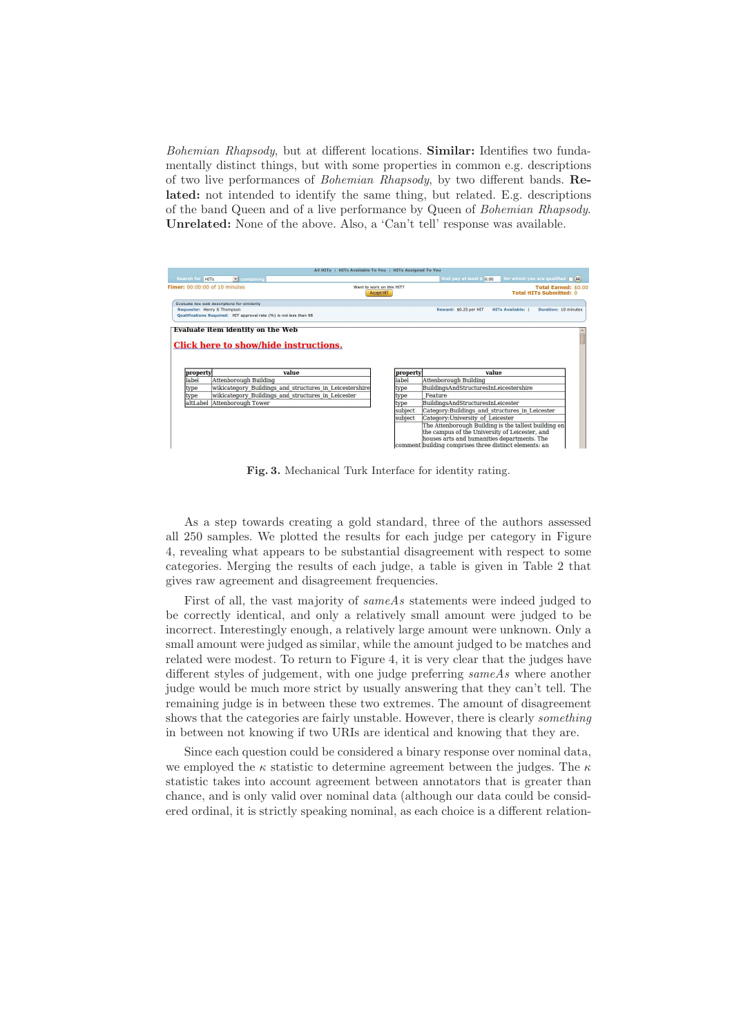*Bohemian Rhapsody*, but at different locations. Similar: Identifies two fundamentally distinct things, but with some properties in common e.g. descriptions of two live performances of *Bohemian Rhapsody*, by two different bands. Related: not intended to identify the same thing, but related. E.g. descriptions of the band Queen and of a live performance by Queen of *Bohemian Rhapsody*. Unrelated: None of the above. Also, a 'Can't tell' response was available.



Fig. 3. Mechanical Turk Interface for identity rating.

As a step towards creating a gold standard, three of the authors assessed all 250 samples. We plotted the results for each judge per category in Figure 4, revealing what appears to be substantial disagreement with respect to some categories. Merging the results of each judge, a table is given in Table 2 that gives raw agreement and disagreement frequencies.

First of all, the vast majority of *sameAs* statements were indeed judged to be correctly identical, and only a relatively small amount were judged to be incorrect. Interestingly enough, a relatively large amount were unknown. Only a small amount were judged as similar, while the amount judged to be matches and related were modest. To return to Figure 4, it is very clear that the judges have different styles of judgement, with one judge preferring *sameAs* where another judge would be much more strict by usually answering that they can't tell. The remaining judge is in between these two extremes. The amount of disagreement shows that the categories are fairly unstable. However, there is clearly *something* in between not knowing if two URIs are identical and knowing that they are.

Since each question could be considered a binary response over nominal data, we employed the  $\kappa$  statistic to determine agreement between the judges. The  $\kappa$ statistic takes into account agreement between annotators that is greater than chance, and is only valid over nominal data (although our data could be considered ordinal, it is strictly speaking nominal, as each choice is a different relation-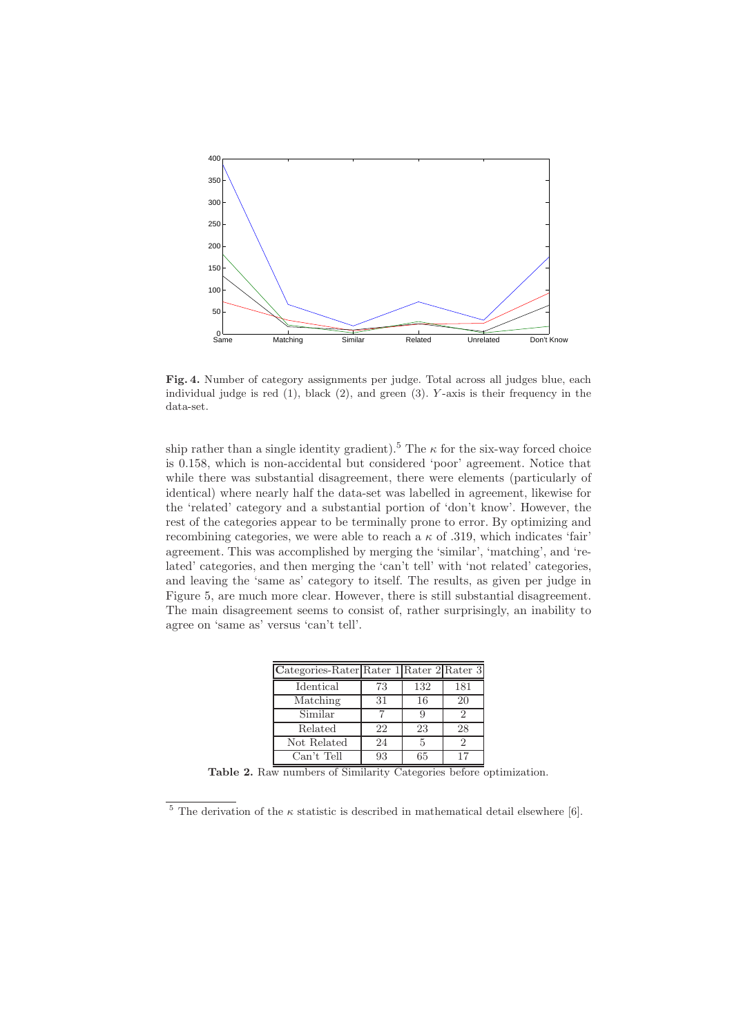

Fig. 4. Number of category assignments per judge. Total across all judges blue, each individual judge is red (1), black (2), and green (3). Y -axis is their frequency in the data-set.

ship rather than a single identity gradient).<sup>5</sup> The  $\kappa$  for the six-way forced choice is 0.158, which is non-accidental but considered 'poor' agreement. Notice that while there was substantial disagreement, there were elements (particularly of identical) where nearly half the data-set was labelled in agreement, likewise for the 'related' category and a substantial portion of 'don't know'. However, the rest of the categories appear to be terminally prone to error. By optimizing and recombining categories, we were able to reach a  $\kappa$  of .319, which indicates 'fair' agreement. This was accomplished by merging the 'similar', 'matching', and 'related' categories, and then merging the 'can't tell' with 'not related' categories, and leaving the 'same as' category to itself. The results, as given per judge in Figure 5, are much more clear. However, there is still substantial disagreement. The main disagreement seems to consist of, rather surprisingly, an inability to agree on 'same as' versus 'can't tell'.

| Categories-Rater Rater 1 Rater 2 Rater 3 |    |     |     |
|------------------------------------------|----|-----|-----|
| Identical                                | 73 | 132 | 181 |
| Matching                                 | 31 | 16  | 20  |
| Similar                                  |    |     |     |
| Related                                  | 22 | 23  | 28  |
| Not Related                              | 24 | 5   |     |
| Can't Tell                               | 93 | 65  |     |

Table 2. Raw numbers of Similarity Categories before optimization.

<sup>&</sup>lt;sup>5</sup> The derivation of the  $\kappa$  statistic is described in mathematical detail elsewhere [6].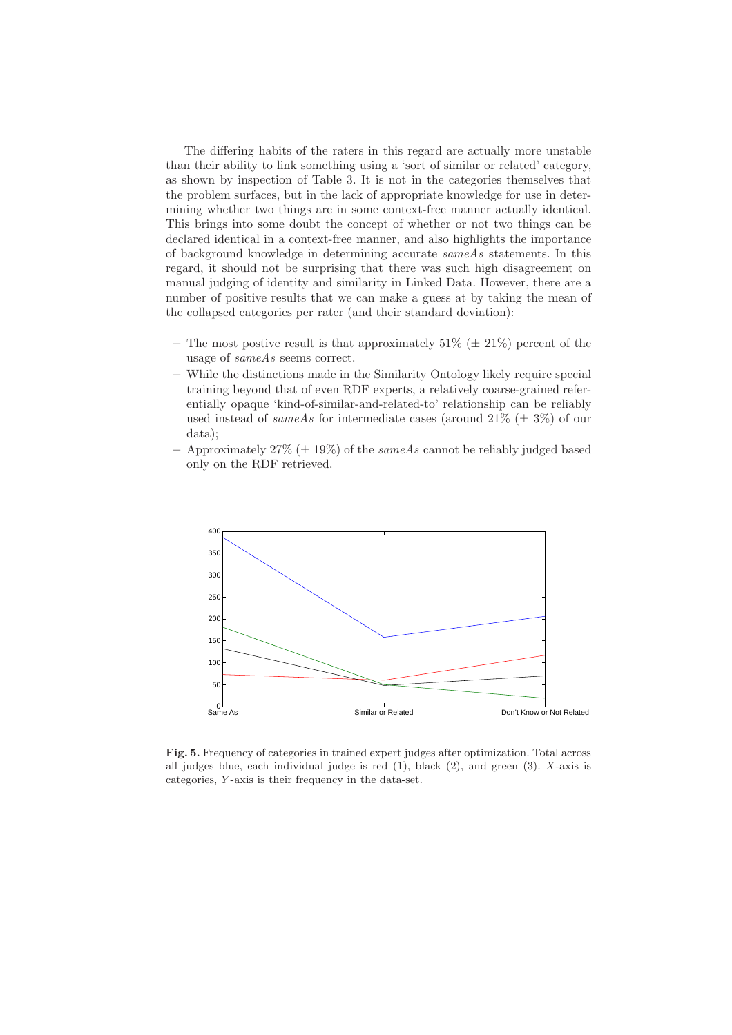The differing habits of the raters in this regard are actually more unstable than their ability to link something using a 'sort of similar or related' category, as shown by inspection of Table 3. It is not in the categories themselves that the problem surfaces, but in the lack of appropriate knowledge for use in determining whether two things are in some context-free manner actually identical. This brings into some doubt the concept of whether or not two things can be declared identical in a context-free manner, and also highlights the importance of background knowledge in determining accurate *sameAs* statements. In this regard, it should not be surprising that there was such high disagreement on manual judging of identity and similarity in Linked Data. However, there are a number of positive results that we can make a guess at by taking the mean of the collapsed categories per rater (and their standard deviation):

- The most postive result is that approximately  $51\%$  ( $\pm 21\%$ ) percent of the usage of *sameAs* seems correct.
- While the distinctions made in the Similarity Ontology likely require special training beyond that of even RDF experts, a relatively coarse-grained referentially opaque 'kind-of-similar-and-related-to' relationship can be reliably used instead of *sameAs* for intermediate cases (around  $21\%$  ( $\pm$  3%) of our data);
- Approximately 27% (± 19%) of the *sameAs* cannot be reliably judged based only on the RDF retrieved.



Fig. 5. Frequency of categories in trained expert judges after optimization. Total across all judges blue, each individual judge is red  $(1)$ , black  $(2)$ , and green  $(3)$ . X-axis is categories, Y -axis is their frequency in the data-set.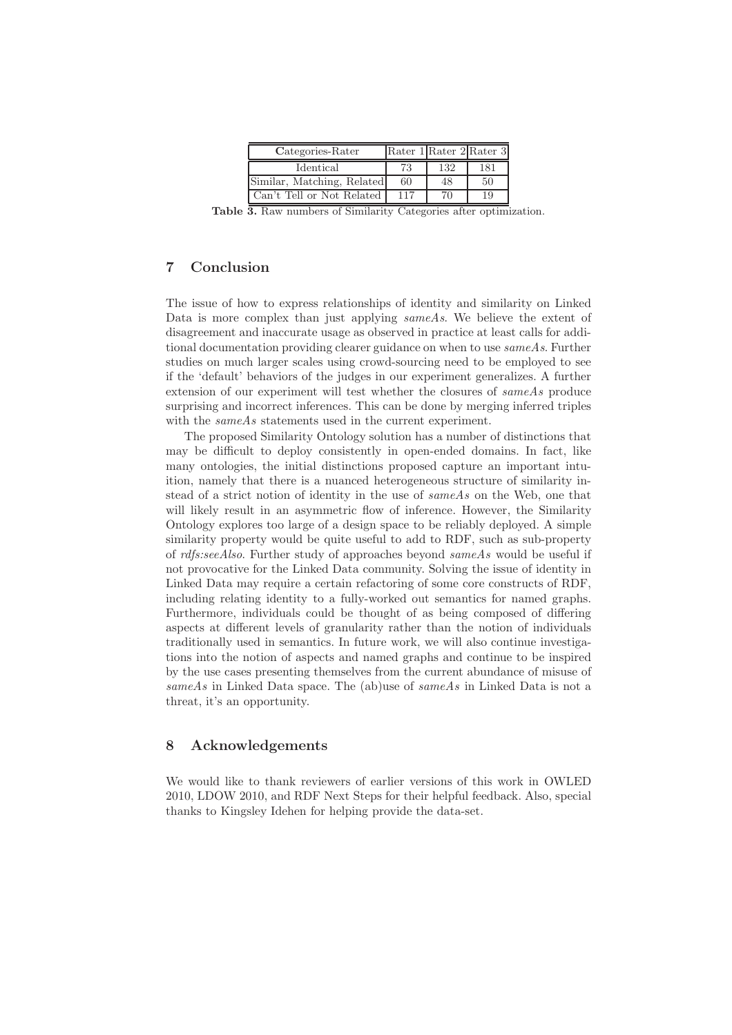| Categories-Rater           | Rater 1 Rater 2 Rater 3 |     |              |
|----------------------------|-------------------------|-----|--------------|
| <b>Identical</b>           | 73                      | 132 | 181          |
| Similar, Matching, Related | 60                      | 48  | $50^{\circ}$ |
| Can't Tell or Not Related  | 117                     | 70  | 19           |

Table 3. Raw numbers of Similarity Categories after optimization.

# 7 Conclusion

The issue of how to express relationships of identity and similarity on Linked Data is more complex than just applying *sameAs*. We believe the extent of disagreement and inaccurate usage as observed in practice at least calls for additional documentation providing clearer guidance on when to use *sameAs*. Further studies on much larger scales using crowd-sourcing need to be employed to see if the 'default' behaviors of the judges in our experiment generalizes. A further extension of our experiment will test whether the closures of *sameAs* produce surprising and incorrect inferences. This can be done by merging inferred triples with the *sameAs* statements used in the current experiment.

The proposed Similarity Ontology solution has a number of distinctions that may be difficult to deploy consistently in open-ended domains. In fact, like many ontologies, the initial distinctions proposed capture an important intuition, namely that there is a nuanced heterogeneous structure of similarity instead of a strict notion of identity in the use of *sameAs* on the Web, one that will likely result in an asymmetric flow of inference. However, the Similarity Ontology explores too large of a design space to be reliably deployed. A simple similarity property would be quite useful to add to RDF, such as sub-property of *rdfs:seeAlso*. Further study of approaches beyond *sameAs* would be useful if not provocative for the Linked Data community. Solving the issue of identity in Linked Data may require a certain refactoring of some core constructs of RDF, including relating identity to a fully-worked out semantics for named graphs. Furthermore, individuals could be thought of as being composed of differing aspects at different levels of granularity rather than the notion of individuals traditionally used in semantics. In future work, we will also continue investigations into the notion of aspects and named graphs and continue to be inspired by the use cases presenting themselves from the current abundance of misuse of *sameAs* in Linked Data space. The (ab)use of *sameAs* in Linked Data is not a threat, it's an opportunity.

# 8 Acknowledgements

We would like to thank reviewers of earlier versions of this work in OWLED 2010, LDOW 2010, and RDF Next Steps for their helpful feedback. Also, special thanks to Kingsley Idehen for helping provide the data-set.